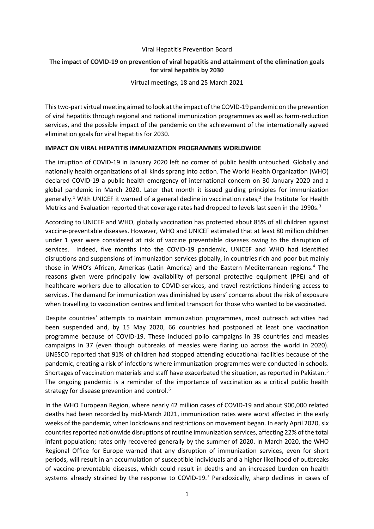#### Viral Hepatitis Prevention Board

## **The impact of COVID-19 on prevention of viral hepatitis and attainment of the elimination goals for viral hepatitis by 2030**

Virtual meetings, 18 and 25 March 2021

This two-part virtual meeting aimed to look at the impact of the COVID-19 pandemic on the prevention of viral hepatitis through regional and national immunization programmes as well as harm-reduction services, and the possible impact of the pandemic on the achievement of the internationally agreed elimination goals for viral hepatitis for 2030.

### **IMPACT ON VIRAL HEPATITIS IMMUNIZATION PROGRAMMES WORLDWIDE**

The irruption of COVID-19 in January 2020 left no corner of public health untouched. Globally and nationally health organizations of all kinds sprang into action. The World Health Organization (WHO) declared COVID-19 a public health emergency of international concern on 30 January 2020 and a global pandemic in March 2020. Later that month it issued guiding principles for immunization generally.<sup>[1](#page-11-0)</sup> With UNICEF it warned of a general decline in vaccination rates;<sup>[2](#page-11-1)</sup> the Institute for Health Metrics and Evaluation reported that coverage rates had dropped to levels last seen in the 1990s.<sup>[3](#page-11-2)</sup>

According to UNICEF and WHO, globally vaccination has protected about 85% of all children against vaccine-preventable diseases. However, WHO and UNICEF estimated that at least 80 million children under 1 year were considered at risk of vaccine preventable diseases owing to the disruption of services. Indeed, five months into the COVID-19 pandemic, UNICEF and WHO had identified disruptions and suspensions of immunization services globally, in countries rich and poor but mainly those in WHO's African, Americas (Latin America) and the Eastern Mediterranean regions.[4](#page-11-3) The reasons given were principally low availability of personal protective equipment (PPE) and of healthcare workers due to allocation to COVID-services, and travel restrictions hindering access to services. The demand for immunization was diminished by users' concerns about the risk of exposure when travelling to vaccination centres and limited transport for those who wanted to be vaccinated.

Despite countries' attempts to maintain immunization programmes, most outreach activities had been suspended and, by 15 May 2020, 66 countries had postponed at least one vaccination programme because of COVID-19. These included polio campaigns in 38 countries and measles campaigns in 37 (even though outbreaks of measles were flaring up across the world in 2020). UNESCO reported that 91% of children had stopped attending educational facilities because of the pandemic, creating a risk of infections where immunization programmes were conducted in schools. Shortages of vaccination materials and staff have exacerbated the situation, as reported in Pakistan.<sup>[5](#page-11-4)</sup> The ongoing pandemic is a reminder of the importance of vaccination as a critical public health strategy for disease prevention and control.<sup>[6](#page-11-5)</sup>

In the WHO European Region, where nearly 42 million cases of COVID-19 and about 900,000 related deaths had been recorded by mid-March 2021, immunization rates were worst affected in the early weeks of the pandemic, when lockdowns and restrictions on movement began. In early April 2020, six countries reported nationwide disruptions of routine immunization services, affecting 22% of the total infant population; rates only recovered generally by the summer of 2020. In March 2020, the WHO Regional Office for Europe warned that any disruption of immunization services, even for short periods, will result in an accumulation of susceptible individuals and a higher likelihood of outbreaks of vaccine-preventable diseases, which could result in deaths and an increased burden on health systems already strained by the response to COVID-19.<sup>[7](#page-11-6)</sup> Paradoxically, sharp declines in cases of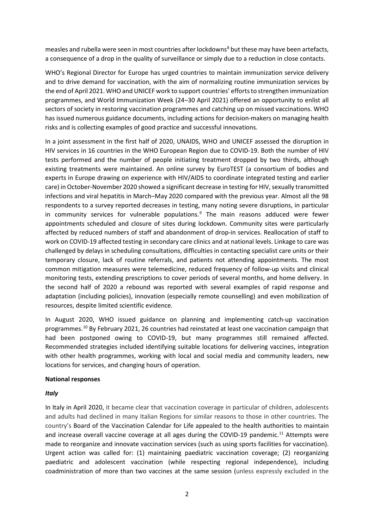measles and rubella were seen in most countries after lockdowns<sup>[8](#page-11-7)</sup> but these may have been artefacts, a consequence of a drop in the quality of surveillance or simply due to a reduction in close contacts.

WHO's Regional Director for Europe has urged countries to maintain immunization service delivery and to drive demand for vaccination, with the aim of normalizing routine immunization services by the end of April 2021. WHO and UNICEF work to support countries' efforts to strengthen immunization programmes, and World Immunization Week (24‒30 April 2021) offered an opportunity to enlist all sectors of society in restoring vaccination programmes and catching up on missed vaccinations. WHO has issued numerous guidance documents, including actions for decision-makers on managing health risks and is collecting examples of good practice and successful innovations.

In a joint assessment in the first half of 2020, UNAIDS, WHO and UNICEF assessed the disruption in HIV services in 16 countries in the WHO European Region due to COVID-19. Both the number of HIV tests performed and the number of people initiating treatment dropped by two thirds, although existing treatments were maintained. An online survey by EuroTEST (a consortium of bodies and experts in Europe drawing on experience with HIV/AIDS to coordinate integrated testing and earlier care) in October-November 2020 showed a significant decrease in testing for HIV, sexually transmitted infections and viral hepatitis in March–May 2020 compared with the previous year. Almost all the 98 respondents to a survey reported decreases in testing, many noting severe disruptions, in particular in community services for vulnerable populations. $9$  The main reasons adduced were fewer appointments scheduled and closure of sites during lockdown. Community sites were particularly affected by reduced numbers of staff and abandonment of drop-in services. Reallocation of staff to work on COVID-19 affected testing in secondary care clinics and at national levels. Linkage to care was challenged by delays in scheduling consultations, difficulties in contacting specialist care units or their temporary closure, lack of routine referrals, and patients not attending appointments. The most common mitigation measures were telemedicine, reduced frequency of follow-up visits and clinical monitoring tests, extending prescriptions to cover periods of several months, and home delivery. In the second half of 2020 a rebound was reported with several examples of rapid response and adaptation (including policies), innovation (especially remote counselling) and even mobilization of resources, despite limited scientific evidence.

In August 2020, WHO issued guidance on planning and implementing catch-up vaccination programmes. [10](#page-12-0) By February 2021, 26 countries had reinstated at least one vaccination campaign that had been postponed owing to COVID-19, but many programmes still remained affected. Recommended strategies included identifying suitable locations for delivering vaccines, integration with other health programmes, working with local and social media and community leaders, new locations for services, and changing hours of operation.

#### **National responses**

#### *Italy*

In Italy in April 2020, it became clear that vaccination coverage in particular of children, adolescents and adults had declined in many Italian Regions for similar reasons to those in other countries. The country's Board of the Vaccination Calendar for Life appealed to the health authorities to maintain and increase overall vaccine coverage at all ages during the COVID-19 pandemic.<sup>11</sup> Attempts were made to reorganize and innovate vaccination services (such as using sports facilities for vaccination). Urgent action was called for: (1) maintaining paediatric vaccination coverage; (2) reorganizing paediatric and adolescent vaccination (while respecting regional independence), including coadministration of more than two vaccines at the same session (unless expressly excluded in the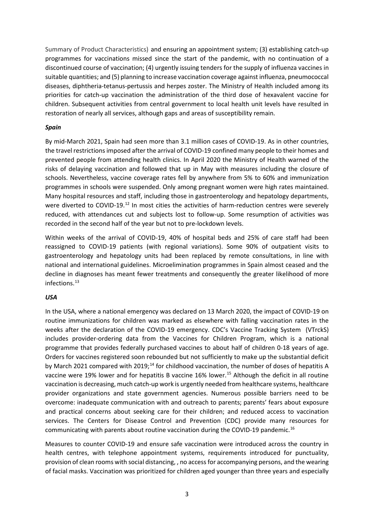Summary of Product Characteristics) and ensuring an appointment system; (3) establishing catch-up programmes for vaccinations missed since the start of the pandemic, with no continuation of a discontinued course of vaccination; (4) urgently issuing tenders for the supply of influenza vaccines in suitable quantities; and (5) planning to increase vaccination coverage against influenza, pneumococcal diseases, diphtheria-tetanus-pertussis and herpes zoster. The Ministry of Health included among its priorities for catch-up vaccination the administration of the third dose of hexavalent vaccine for children. Subsequent activities from central government to local health unit levels have resulted in restoration of nearly all services, although gaps and areas of susceptibility remain.

### *Spain*

By mid-March 2021, Spain had seen more than 3.1 million cases of COVID-19. As in other countries, the travel restrictions imposed after the arrival of COVID-19 confined many people to their homes and prevented people from attending health clinics. In April 2020 the Ministry of Health warned of the risks of delaying vaccination and followed that up in May with measures including the closure of schools. Nevertheless, vaccine coverage rates fell by anywhere from 5% to 60% and immunization programmes in schools were suspended. Only among pregnant women were high rates maintained. Many hospital resources and staff, including those in gastroenterology and hepatology departments, were diverted to COVID-19.<sup>[12](#page-12-2)</sup> In most cities the activities of harm-reduction centres were severely reduced, with attendances cut and subjects lost to follow-up. Some resumption of activities was recorded in the second half of the year but not to pre-lockdown levels.

Within weeks of the arrival of COVID-19, 40% of hospital beds and 25% of care staff had been reassigned to COVID-19 patients (with regional variations). Some 90% of outpatient visits to gastroenterology and hepatology units had been replaced by remote consultations, in line with national and international guidelines. Microelimination programmes in Spain almost ceased and the decline in diagnoses has meant fewer treatments and consequently the greater likelihood of more infections.<sup>[13](#page-12-3)</sup>

## *USA*

In the USA, where a national emergency was declared on 13 March 2020, the impact of COVID-19 on routine immunizations for children was marked as elsewhere with falling vaccination rates in the weeks after the declaration of the COVID-19 emergency. CDC's Vaccine Tracking System (VTrckS) includes provider-ordering data from the Vaccines for Children Program, which is a national programme that provides federally purchased vaccines to about half of children 0-18 years of age. Orders for vaccines registered soon rebounded but not sufficiently to make up the substantial deficit by March 2021 compared with 2019;<sup>[14](#page-12-4)</sup> for childhood vaccination, the number of doses of hepatitis A vaccine were 19% lower and for hepatitis B vaccine 16% lower.[15](#page-12-5) Although the deficit in all routine vaccination is decreasing, much catch-up work is urgently needed from healthcare systems, healthcare provider organizations and state government agencies. Numerous possible barriers need to be overcome: inadequate communication with and outreach to parents; parents' fears about exposure and practical concerns about seeking care for their children; and reduced access to vaccination services. The Centers for Disease Control and Prevention (CDC) provide many resources for communicating with parents about routine vaccination during the COVID-19 pandemic.[16](#page-12-6)

Measures to counter COVID-19 and ensure safe vaccination were introduced across the country in health centres, with telephone appointment systems, requirements introduced for punctuality, provision of clean rooms with social distancing, , no access for accompanying persons, and the wearing of facial masks. Vaccination was prioritized for children aged younger than three years and especially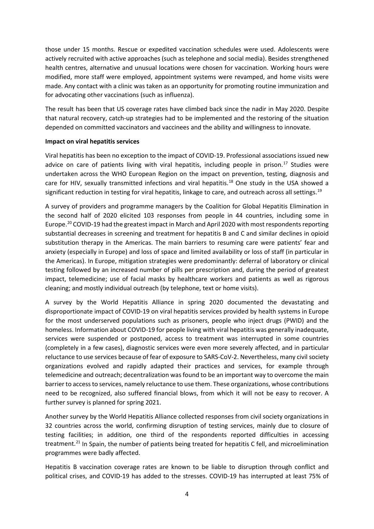those under 15 months. Rescue or expedited vaccination schedules were used. Adolescents were actively recruited with active approaches (such as telephone and social media). Besides strengthened health centres, alternative and unusual locations were chosen for vaccination. Working hours were modified, more staff were employed, appointment systems were revamped, and home visits were made. Any contact with a clinic was taken as an opportunity for promoting routine immunization and for advocating other vaccinations (such as influenza).

The result has been that US coverage rates have climbed back since the nadir in May 2020. Despite that natural recovery, catch-up strategies had to be implemented and the restoring of the situation depended on committed vaccinators and vaccinees and the ability and willingness to innovate.

#### **Impact on viral hepatitis services**

Viral hepatitis has been no exception to the impact of COVID-19. Professional associations issued new advice on care of patients living with viral hepatitis, including people in prison.<sup>[17](#page-12-7)</sup> Studies were undertaken across the WHO European Region on the impact on prevention, testing, diagnosis and care for HIV, sexually transmitted infections and viral hepatitis.<sup>[18](#page-12-8)</sup> One study in the USA showed a significant reduction in testing for viral hepatitis, linkage to care, and outreach across all settings.<sup>[19](#page-12-9)</sup>

A survey of providers and programme managers by the Coalition for Global Hepatitis Elimination in the second half of 2020 elicited 103 responses from people in 44 countries, including some in Europe.<sup>[20](#page-12-10)</sup> COVID-19 had the greatest impact in March and April 2020 with most respondents reporting substantial decreases in screening and treatment for hepatitis B and C and similar declines in opioid substitution therapy in the Americas. The main barriers to resuming care were patients' fear and anxiety (especially in Europe) and loss of space and limited availability or loss of staff (in particular in the Americas). In Europe, mitigation strategies were predominantly: deferral of laboratory or clinical testing followed by an increased number of pills per prescription and, during the period of greatest impact, telemedicine; use of facial masks by healthcare workers and patients as well as rigorous cleaning; and mostly individual outreach (by telephone, text or home visits).

A survey by the World Hepatitis Alliance in spring 2020 documented the devastating and disproportionate impact of COVID-19 on viral hepatitis services provided by health systems in Europe for the most underserved populations such as prisoners, people who inject drugs (PWID) and the homeless. Information about COVID-19 for people living with viral hepatitis was generally inadequate, services were suspended or postponed, access to treatment was interrupted in some countries (completely in a few cases), diagnostic services were even more severely affected, and in particular reluctance to use services because of fear of exposure to SARS-CoV-2. Nevertheless, many civil society organizations evolved and rapidly adapted their practices and services, for example through telemedicine and outreach; decentralization was found to be an important way to overcome the main barrier to access to services, namely reluctance to use them. These organizations, whose contributions need to be recognized, also suffered financial blows, from which it will not be easy to recover. A further survey is planned for spring 2021.

Another survey by the World Hepatitis Alliance collected responses from civil society organizations in 32 countries across the world, confirming disruption of testing services, mainly due to closure of testing facilities; in addition, one third of the respondents reported difficulties in accessing treatment.[21](#page-12-11) In Spain, the number of patients being treated for hepatitis C fell, and microelimination programmes were badly affected.

Hepatitis B vaccination coverage rates are known to be liable to disruption through conflict and political crises, and COVID-19 has added to the stresses. COVID-19 has interrupted at least 75% of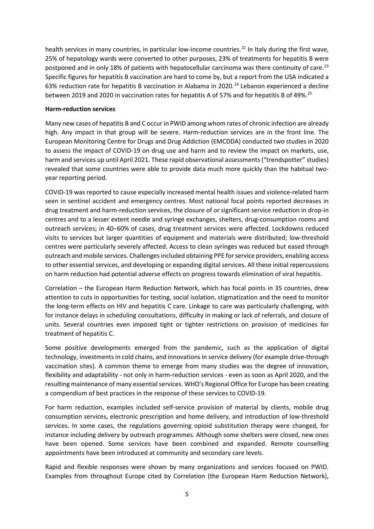health services in many countries, in particular low-income countries.<sup>22</sup> In Italy during the first wave, 25% of hepatology wards were converted to other purposes, 23% of treatments for hepatitis B were postponed and in only 18% of patients with hepatocellular carcinoma was there continuity of care.<sup>[23](#page-12-13)</sup> Specific figures for hepatitis B vaccination are hard to come by, but a report from the USA indicated a 63% reduction rate for hepatitis B vaccination in Alabama in 2020.<sup>[24](#page-12-14)</sup> Lebanon experienced a decline between 2019 and 2020 in vaccination rates for hepatitis A of 57% and for hepatitis B of 49%.[25](#page-12-15)

#### **Harm-reduction services**

Many new cases of hepatitis B and C occur in PWID among whom rates of chronic infection are already high. Any impact in that group will be severe. Harm-reduction services are in the front line. The European Monitoring Centre for Drugs and Drug Addiction (EMCDDA) conducted two studies in 2020 to assess the impact of COVID-19 on drug use and harm and to review the impact on markets, use, harm and services up until April 2021. These rapid observational assessments ("trendspotter" studies) revealed that some countries were able to provide data much more quickly than the habitual twoyear reporting period.

COVID-19 was reported to cause especially increased mental health issues and violence-related harm seen in sentinel accident and emergency centres. Most national focal points reported decreases in drug treatment and harm-reduction services, the closure of or significant service reduction in drop-in centres and to a lesser extent needle and syringe exchanges, shelters, drug-consumption rooms and outreach services; in 40‒60% of cases, drug treatment services were affected. Lockdowns reduced visits to services but larger quantities of equipment and materials were distributed; low-threshold centres were particularly severely affected. Access to clean syringes was reduced but eased through outreach and mobile services. Challengesincluded obtaining PPE for service providers, enabling access to other essential services, and developing or expanding digital services. All these initial repercussions on harm reduction had potential adverse effects on progress towards elimination of viral hepatitis.

Correlation – the European Harm Reduction Network, which has focal points in 35 countries, drew attention to cuts in opportunities for testing, social isolation, stigmatization and the need to monitor the long-term effects on HIV and hepatitis C care. Linkage to care was particularly challenging, with for instance delays in scheduling consultations, difficulty in making or lack of referrals, and closure of units. Several countries even imposed tight or tighter restrictions on provision of medicines for treatment of hepatitis C.

Some positive developments emerged from the pandemic, such as the application of digital technology, investments in cold chains, and innovations in service delivery (for example drive-through vaccination sites). A common theme to emerge from many studies was the degree of innovation, flexibility and adaptability - not only in harm-reduction services - even as soon as April 2020, and the resulting maintenance of many essential services. WHO's Regional Office for Europe has been creating a compendium of best practices in the response of these services to COVID-19.

For harm reduction, examples included self-service provision of material by clients, mobile drug consumption services, electronic prescription and home delivery, and introduction of low-threshold services. In some cases, the regulations governing opioid substitution therapy were changed, for instance including delivery by outreach programmes. Although some shelters were closed, new ones have been opened. Some services have been combined and expanded. Remote counselling appointments have been introduced at community and secondary care levels.

Rapid and flexible responses were shown by many organizations and services focused on PWID. Examples from throughout Europe cited by Correlation (the European Harm Reduction Network),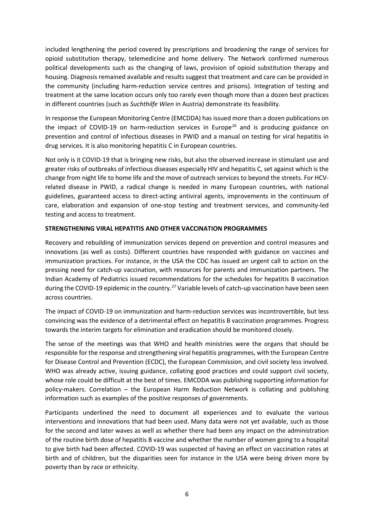included lengthening the period covered by prescriptions and broadening the range of services for opioid substitution therapy, telemedicine and home delivery. The Network confirmed numerous political developments such as the changing of laws, provision of opioid substitution therapy and housing. Diagnosis remained available and results suggest that treatment and care can be provided in the community (including harm-reduction service centres and prisons). Integration of testing and treatment at the same location occurs only too rarely even though more than a dozen best practices in different countries (such as *Suchthilfe Wien* in Austria) demonstrate its feasibility.

In response the European Monitoring Centre (EMCDDA) has issued more than a dozen publications on the impact of COVID-19 on harm-reduction services in Europe<sup>[26](#page-12-16)</sup> and is producing guidance on prevention and control of infectious diseases in PWID and a manual on testing for viral hepatitis in drug services. It is also monitoring hepatitis C in European countries.

Not only is it COVID-19 that is bringing new risks, but also the observed increase in stimulant use and greater risks of outbreaks of infectious diseases especially HIV and hepatitis C, set against which is the change from night life to home life and the move of outreach services to beyond the streets. For HCVrelated disease in PWID, a radical change is needed in many European countries, with national guidelines, guaranteed access to direct-acting antiviral agents, improvements in the continuum of care, elaboration and expansion of one-stop testing and treatment services, and community-led testing and access to treatment.

### **STRENGTHENING VIRAL HEPATITIS AND OTHER VACCINATION PROGRAMMES**

Recovery and rebuilding of immunization services depend on prevention and control measures and innovations (as well as costs). Different countries have responded with guidance on vaccines and immunization practices. For instance, in the USA the CDC has issued an urgent call to action on the pressing need for catch-up vaccination, with resources for parents and immunization partners. The Indian Academy of Pediatrics issued recommendations for the schedules for hepatitis B vaccination during the COVID-19 epidemic in the country.<sup>[27](#page-12-17)</sup> Variable levels of catch-up vaccination have been seen across countries.

The impact of COVID-19 on immunization and harm-reduction services was incontrovertible, but less convincing was the evidence of a detrimental effect on hepatitis B vaccination programmes. Progress towards the interim targets for elimination and eradication should be monitored closely.

The sense of the meetings was that WHO and health ministries were the organs that should be responsible for the response and strengthening viral hepatitis programmes, with the European Centre for Disease Control and Prevention (ECDC), the European Commission, and civil society less involved. WHO was already active, issuing guidance, collating good practices and could support civil society, whose role could be difficult at the best of times. EMCDDA was publishing supporting information for policy-makers. Correlation – the European Harm Reduction Network is collating and publishing information such as examples of the positive responses of governments.

Participants underlined the need to document all experiences and to evaluate the various interventions and innovations that had been used. Many data were not yet available, such as those for the second and later waves as well as whether there had been any impact on the administration of the routine birth dose of hepatitis B vaccine and whether the number of women going to a hospital to give birth had been affected. COVID-19 was suspected of having an effect on vaccination rates at birth and of children, but the disparities seen for instance in the USA were being driven more by poverty than by race or ethnicity.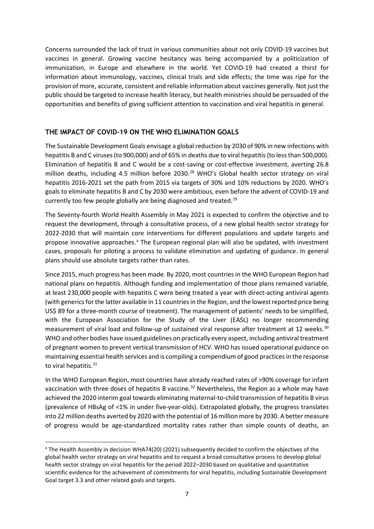Concerns surrounded the lack of trust in various communities about not only COVID-19 vaccines but vaccines in general. Growing vaccine hesitancy was being accompanied by a politicization of immunization, in Europe and elsewhere in the world. Yet COVID-19 had created a thirst for information about immunology, vaccines, clinical trials and side effects; the time was ripe for the provision of more, accurate, consistent and reliable information about vaccines generally. Not just the public should be targeted to increase health literacy, but health ministries should be persuaded of the opportunities and benefits of giving sufficient attention to vaccination and viral hepatitis in general.

# **THE IMPACT OF COVID-19 ON THE WHO ELIMINATION GOALS**

The Sustainable Development Goals envisage a global reduction by 2030 of 90% in new infections with hepatitis B and C viruses (to 900,000) and of 65% in deaths due to viral hepatitis (to less than 500,000). Elimination of hepatitis B and C would be a cost-saving or cost-effective investment, averting 26.8 million deaths, including 4.5 million before 2030.<sup>[28](#page-13-0)</sup> WHO's Global health sector strategy on viral hepatitis 2016-2021 set the path from 2015 via targets of 30% and 10% reductions by 2020. WHO's goals to eliminate hepatitis B and C by 2030 were ambitious, even before the advent of COVID-19 and currently too few people globally are being diagnosed and treated.<sup>[29](#page-13-1)</sup>

The Seventy-fourth World Health Assembly in May 2021 is expected to confirm the objective and to request the development, through a consultative process, of a new global health sector strategy for 2022-2030 that will maintain core interventions for different populations and update targets and propose innov[a](#page-6-0)tive approaches.<sup>a</sup> The European regional plan will also be updated, with investment cases, proposals for piloting a process to validate elimination and updating of guidance. In general plans should use absolute targets rather than rates.

Since 2015, much progress has been made. By 2020, most countries in the WHO European Region had national plans on hepatitis. Although funding and implementation of those plans remained variable, at least 230,000 people with hepatitis C were being treated a year with direct-acting antiviral agents (with generics for the latter available in 11 countries in the Region, and the lowest reported price being US\$ 89 for a three-month course of treatment). The management of patients' needs to be simplified, with the European Association for the Study of the Liver (EASL) no longer recommending measurement of viral load and follow-up of sustained viral response after treatment at 12 weeks.<sup>[30](#page-13-2)</sup> WHO and other bodies have issued guidelines on practically every aspect, including antiviral treatment of pregnant women to prevent vertical transmission of HCV. WHO has issued operational guidance on maintaining essential health services and is compiling a compendium of good practices in the response to viral hepatitis.<sup>[31](#page-13-3)</sup>

In the WHO European Region, most countries have already reached rates of >90% coverage for infant vaccination with three doses of hepatitis B vaccine.<sup>[32](#page-13-4)</sup> Nevertheless, the Region as a whole may have achieved the 2020 interim goal towards eliminating maternal-to-child transmission of hepatitis B virus (prevalence of HBsAg of <1% in under five-year-olds). Extrapolated globally, the progress translates into 22 million deaths averted by 2020 with the potential of 16 million more by 2030. A better measure of progress would be age-standardized mortality rates rather than simple counts of deaths, an

<span id="page-6-0"></span><sup>&</sup>lt;sup>a</sup> The Health Assembly in decision WHA74(20) (2021) subsequently decided to confirm the objectives of the global health sector strategy on viral hepatitis and to request a broad consultative process to develop global health sector strategy on viral hepatitis for the period 2022–2030 based on qualitative and quantitative scientific evidence for the achievement of commitments for viral hepatitis, including Sustainable Development Goal target 3.3 and other related goals and targets.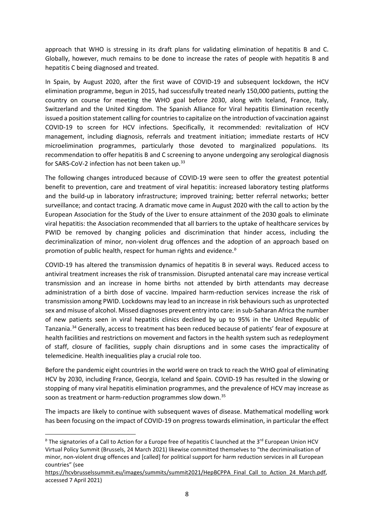approach that WHO is stressing in its draft plans for validating elimination of hepatitis B and C. Globally, however, much remains to be done to increase the rates of people with hepatitis B and hepatitis C being diagnosed and treated.

In Spain, by August 2020, after the first wave of COVID-19 and subsequent lockdown, the HCV elimination programme, begun in 2015, had successfully treated nearly 150,000 patients, putting the country on course for meeting the WHO goal before 2030, along with Iceland, France, Italy, Switzerland and the United Kingdom. The Spanish Alliance for Viral hepatitis Elimination recently issued a position statement calling for countries to capitalize on the introduction of vaccination against COVID-19 to screen for HCV infections. Specifically, it recommended: revitalization of HCV management, including diagnosis, referrals and treatment initiation; immediate restarts of HCV microelimination programmes, particularly those devoted to marginalized populations. Its recommendation to offer hepatitis B and C screening to anyone undergoing any serological diagnosis for SARS-CoV-2 infection has not been taken up. [33](#page-13-5) 

The following changes introduced because of COVID-19 were seen to offer the greatest potential benefit to prevention, care and treatment of viral hepatitis: increased laboratory testing platforms and the build-up in laboratory infrastructure; improved training; better referral networks; better surveillance; and contact tracing. A dramatic move came in August 2020 with the call to action by the European Association for the Study of the Liver to ensure attainment of the 2030 goals to eliminate viral hepatitis: the Association recommended that all barriers to the uptake of healthcare services by PWID be removed by changing policies and discrimination that hinder access, including the decriminalization of minor, non-violent drug offences and the adoption of an approach based on promotion of public health, respect for human rights and evidence.*[b](#page-7-0)*

COVID-19 has altered the transmission dynamics of hepatitis B in several ways. Reduced access to antiviral treatment increases the risk of transmission. Disrupted antenatal care may increase vertical transmission and an increase in home births not attended by birth attendants may decrease administration of a birth dose of vaccine. Impaired harm-reduction services increase the risk of transmission among PWID. Lockdowns may lead to an increase in risk behaviours such as unprotected sex and misuse of alcohol. Missed diagnoses prevent entry into care: in sub-Saharan Africa the number of new patients seen in viral hepatitis clinics declined by up to 95% in the United Republic of Tanzania.<sup>[34](#page-13-6)</sup> Generally, access to treatment has been reduced because of patients' fear of exposure at health facilities and restrictions on movement and factors in the health system such as redeployment of staff, closure of facilities, supply chain disruptions and in some cases the impracticality of telemedicine. Health inequalities play a crucial role too.

Before the pandemic eight countries in the world were on track to reach the WHO goal of eliminating HCV by 2030, including France, Georgia, Iceland and Spain. COVID-19 has resulted in the slowing or stopping of many viral hepatitis elimination programmes, and the prevalence of HCV may increase as soon as treatment or harm-reduction programmes slow down.<sup>[35](#page-13-7)</sup>

The impacts are likely to continue with subsequent waves of disease. Mathematical modelling work has been focusing on the impact of COVID-19 on progress towards elimination, in particular the effect

<span id="page-7-0"></span>*b* The signatories of a Call to Action for a Europe free of hepatitis C launched at the 3<sup>rd</sup> European Union HCV Virtual Policy Summit (Brussels, 24 March 2021) likewise committed themselves to "the decriminalisation of minor, non-violent drug offences and [called] for political support for harm reduction services in all European countries" (see

https://hcvbrusselssummit.eu/images/summits/summit2021/HepBCPPA\_Final\_Call\_to\_Action\_24\_March.pdf, accessed 7 April 2021)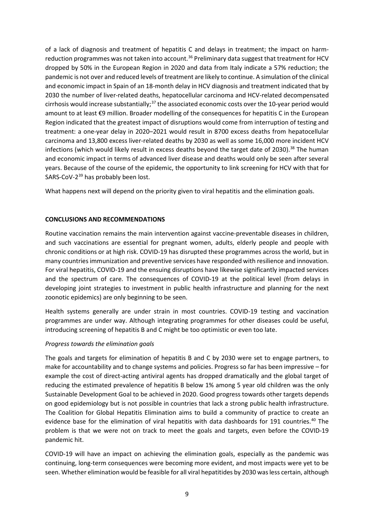of a lack of diagnosis and treatment of hepatitis C and delays in treatment; the impact on harmreduction programmes was not taken into account.<sup>36</sup> Preliminary data suggest that treatment for HCV dropped by 50% in the European Region in 2020 and data from Italy indicate a 57% reduction; the pandemic is not over and reduced levels of treatment are likely to continue. A simulation of the clinical and economic impact in Spain of an 18-month delay in HCV diagnosis and treatment indicated that by 2030 the number of liver-related deaths, hepatocellular carcinoma and HCV-related decompensated cirrhosis would increase substantially;<sup>[37](#page-13-9)</sup> the associated economic costs over the 10-year period would amount to at least €9 million. Broader modelling of the consequences for hepatitis C in the European Region indicated that the greatest impact of disruptions would come from interruption of testing and treatment: a one-year delay in 2020-2021 would result in 8700 excess deaths from hepatocellular carcinoma and 13,800 excess liver-related deaths by 2030 as well as some 16,000 more incident HCV infections (which would likely result in excess deaths beyond the target date of 2030).<sup>[38](#page-13-10)</sup> The human and economic impact in terms of advanced liver disease and deaths would only be seen after several years. Because of the course of the epidemic, the opportunity to link screening for HCV with that for SARS-CoV-2<sup>[39](#page-13-11)</sup> has probably been lost.

What happens next will depend on the priority given to viral hepatitis and the elimination goals.

### **CONCLUSIONS AND RECOMMENDATIONS**

Routine vaccination remains the main intervention against vaccine-preventable diseases in children, and such vaccinations are essential for pregnant women, adults, elderly people and people with chronic conditions or at high risk. COVID-19 has disrupted these programmes across the world, but in many countries immunization and preventive services have responded with resilience and innovation. For viral hepatitis, COVID-19 and the ensuing disruptions have likewise significantly impacted services and the spectrum of care. The consequences of COVID-19 at the political level (from delays in developing joint strategies to investment in public health infrastructure and planning for the next zoonotic epidemics) are only beginning to be seen.

Health systems generally are under strain in most countries. COVID-19 testing and vaccination programmes are under way. Although integrating programmes for other diseases could be useful, introducing screening of hepatitis B and C might be too optimistic or even too late.

#### *Progress towards the elimination goals*

The goals and targets for elimination of hepatitis B and C by 2030 were set to engage partners, to make for accountability and to change systems and policies. Progress so far has been impressive – for example the cost of direct-acting antiviral agents has dropped dramatically and the global target of reducing the estimated prevalence of hepatitis B below 1% among 5 year old children was the only Sustainable Development Goal to be achieved in 2020. Good progress towards other targets depends on good epidemiology but is not possible in countries that lack a strong public health infrastructure. The Coalition for Global Hepatitis Elimination aims to build a community of practice to create an evidence base for the elimination of viral hepatitis with data dashboards for 191 countries.<sup>[40](#page-13-12)</sup> The problem is that we were not on track to meet the goals and targets, even before the COVID-19 pandemic hit.

COVID-19 will have an impact on achieving the elimination goals, especially as the pandemic was continuing, long-term consequences were becoming more evident, and most impacts were yet to be seen. Whether elimination would be feasible for all viral hepatitides by 2030 was less certain, although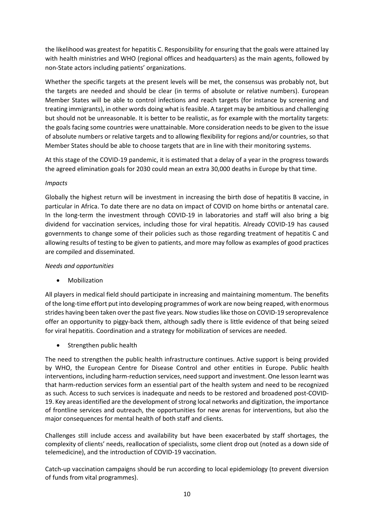the likelihood was greatest for hepatitis C. Responsibility for ensuring that the goals were attained lay with health ministries and WHO (regional offices and headquarters) as the main agents, followed by non-State actors including patients' organizations.

Whether the specific targets at the present levels will be met, the consensus was probably not, but the targets are needed and should be clear (in terms of absolute or relative numbers). European Member States will be able to control infections and reach targets (for instance by screening and treating immigrants), in other words doing what is feasible. A target may be ambitious and challenging but should not be unreasonable. It is better to be realistic, as for example with the mortality targets: the goals facing some countries were unattainable. More consideration needs to be given to the issue of absolute numbers or relative targets and to allowing flexibility for regions and/or countries, so that Member States should be able to choose targets that are in line with their monitoring systems.

At this stage of the COVID-19 pandemic, it is estimated that a delay of a year in the progress towards the agreed elimination goals for 2030 could mean an extra 30,000 deaths in Europe by that time.

## *Impacts*

Globally the highest return will be investment in increasing the birth dose of hepatitis B vaccine, in particular in Africa. To date there are no data on impact of COVID on home births or antenatal care. In the long-term the investment through COVID-19 in laboratories and staff will also bring a big dividend for vaccination services, including those for viral hepatitis. Already COVID-19 has caused governments to change some of their policies such as those regarding treatment of hepatitis C and allowing results of testing to be given to patients, and more may follow as examples of good practices are compiled and disseminated.

#### *Needs and opportunities*

**Mobilization** 

All players in medical field should participate in increasing and maintaining momentum. The benefits of the long-time effort put into developing programmes of work are now being reaped, with enormous strides having been taken over the past five years. Now studies like those on COVID-19 seroprevalence offer an opportunity to piggy-back them, although sadly there is little evidence of that being seized for viral hepatitis. Coordination and a strategy for mobilization of services are needed.

• Strengthen public health

The need to strengthen the public health infrastructure continues. Active support is being provided by WHO, the European Centre for Disease Control and other entities in Europe. Public health interventions, including harm-reduction services, need support and investment. One lesson learnt was that harm-reduction services form an essential part of the health system and need to be recognized as such. Access to such services is inadequate and needs to be restored and broadened post-COVID-19. Key areas identified are the development of strong local networks and digitization, the importance of frontline services and outreach, the opportunities for new arenas for interventions, but also the major consequences for mental health of both staff and clients.

Challenges still include access and availability but have been exacerbated by staff shortages, the complexity of clients' needs, reallocation of specialists, some client drop out (noted as a down side of telemedicine), and the introduction of COVID-19 vaccination.

Catch-up vaccination campaigns should be run according to local epidemiology (to prevent diversion of funds from vital programmes).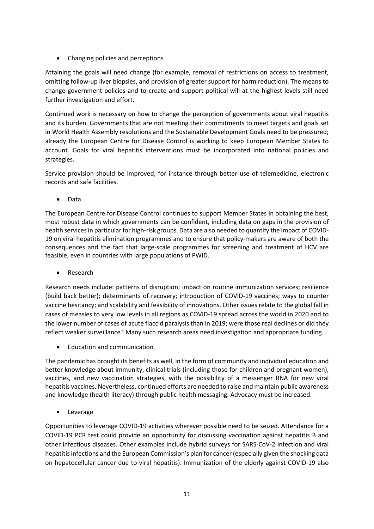• Changing policies and perceptions

Attaining the goals will need change (for example, removal of restrictions on access to treatment, omitting follow-up liver biopsies, and provision of greater support for harm reduction). The means to change government policies and to create and support political will at the highest levels still need further investigation and effort.

Continued work is necessary on how to change the perception of governments about viral hepatitis and its burden. Governments that are not meeting their commitments to meet targets and goals set in World Health Assembly resolutions and the Sustainable Development Goals need to be pressured; already the European Centre for Disease Control is working to keep European Member States to account. Goals for viral hepatitis interventions must be incorporated into national policies and strategies.

Service provision should be improved, for instance through better use of telemedicine, electronic records and safe facilities.

• Data

The European Centre for Disease Control continues to support Member States in obtaining the best, most robust data in which governments can be confident, including data on gaps in the provision of health services in particular for high-risk groups. Data are also needed to quantify the impact of COVID-19 on viral hepatitis elimination programmes and to ensure that policy-makers are aware of both the consequences and the fact that large-scale programmes for screening and treatment of HCV are feasible, even in countries with large populations of PWID.

**Research** 

Research needs include: patterns of disruption; impact on routine immunization services; resilience (build back better); determinants of recovery; introduction of COVID-19 vaccines; ways to counter vaccine hesitancy; and scalability and feasibility of innovations. Other issues relate to the global fall in cases of measles to very low levels in all regions as COVID-19 spread across the world in 2020 and to the lower number of cases of acute flaccid paralysis than in 2019; were those real declines or did they reflect weaker surveillance? Many such research areas need investigation and appropriate funding.

• Education and communication

The pandemic has brought its benefits as well, in the form of community and individual education and better knowledge about immunity, clinical trials (including those for children and pregnant women), vaccines, and new vaccination strategies, with the possibility of a messenger RNA for new viral hepatitis vaccines. Nevertheless, continued efforts are needed to raise and maintain public awareness and knowledge (health literacy) through public health messaging. Advocacy must be increased.

**Leverage** 

Opportunities to leverage COVID-19 activities wherever possible need to be seized. Attendance for a COVID-19 PCR test could provide an opportunity for discussing vaccination against hepatitis B and other infectious diseases. Other examples include hybrid surveys for SARS-CoV-2 infection and viral hepatitis infections and the European Commission's plan for cancer (especially given the shocking data on hepatocellular cancer due to viral hepatitis). Immunization of the elderly against COVID-19 also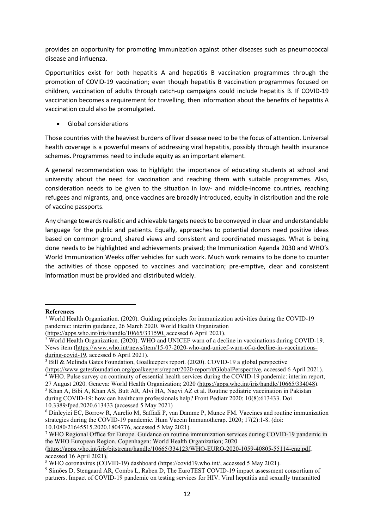provides an opportunity for promoting immunization against other diseases such as pneumococcal disease and influenza.

Opportunities exist for both hepatitis A and hepatitis B vaccination programmes through the promotion of COVID-19 vaccination; even though hepatitis B vaccination programmes focused on children, vaccination of adults through catch-up campaigns could include hepatitis B. If COVID-19 vaccination becomes a requirement for travelling, then information about the benefits of hepatitis A vaccination could also be promulgated.

• Global considerations

Those countries with the heaviest burdens of liver disease need to be the focus of attention. Universal health coverage is a powerful means of addressing viral hepatitis, possibly through health insurance schemes. Programmes need to include equity as an important element.

A general recommendation was to highlight the importance of educating students at school and university about the need for vaccination and reaching them with suitable programmes. Also, consideration needs to be given to the situation in low- and middle-income countries, reaching refugees and migrants, and, once vaccines are broadly introduced, equity in distribution and the role of vaccine passports.

Any change towards realistic and achievable targets needs to be conveyed in clear and understandable language for the public and patients. Equally, approaches to potential donors need positive ideas based on common ground, shared views and consistent and coordinated messages. What is being done needs to be highlighted and achievements praised; the Immunization Agenda 2030 and WHO's World Immunization Weeks offer vehicles for such work. Much work remains to be done to counter the activities of those opposed to vaccines and vaccination; pre-emptive, clear and consistent information must be provided and distributed widely.

<span id="page-11-0"></span>**References**

<sup>&</sup>lt;sup>1</sup> World Health Organization. (2020). Guiding principles for immunization activities during the COVID-19 pandemic: interim guidance, 26 March 2020. World Health Organization

[<sup>\(</sup>https://apps.who.int/iris/handle/10665/331590,](https://apps.who.int/iris/handle/10665/331590) accessed 6 April 2021).

<span id="page-11-1"></span><sup>&</sup>lt;sup>2</sup> World Health Organization. (2020). WHO and UNICEF warn of a decline in vaccinations during COVID-19. News item [\(https://www.who.int/news/item/15-07-2020-who-and-unicef-warn-of-a-decline-in-vaccinations](https://www.who.int/news/item/15-07-2020-who-and-unicef-warn-of-a-decline-in-vaccinations-during-covid-19)[during-covid-19,](https://www.who.int/news/item/15-07-2020-who-and-unicef-warn-of-a-decline-in-vaccinations-during-covid-19) accessed 6 April 2021).

<span id="page-11-2"></span><sup>&</sup>lt;sup>3</sup> Bill & Melinda Gates Foundation, Goalkeepers report. (2020). COVID-19 a global perspective [\(https://www.gatesfoundation.org/goalkeepers/report/2020-report/#GlobalPerspective,](https://www.gatesfoundation.org/goalkeepers/report/2020-report/#GlobalPerspective) accessed 6 April 2021). <sup>4</sup> WHO. Pulse survey on continuity of essential health services during the COVID-19 pandemic: interim report,

<span id="page-11-3"></span><sup>27</sup> August 2020. Geneva: World Health Organization; 2020 [\(https://apps.who.int/iris/handle/10665/334048\)](https://apps.who.int/iris/handle/10665/334048).

<span id="page-11-4"></span><sup>5</sup> Khan A, Bibi A, Khan AS, Butt AR, Alvi HA, Naqvi AZ et al. Routine pediatric vaccination in Pakistan during COVID-19: how can healthcare professionals help? Front Pediatr 2020; 10(8):613433. Doi 10.3389/fped.2020.613433 (accessed 5 May 2021)

<span id="page-11-5"></span><sup>6</sup> Dinleyici EC, Borrow R, Aurelio M, Saffadi P, van Damme P, Munoz FM. Vaccines and routine immunization strategies during the COVID-19 pandemic. Hum Vaccin Immunotherap. 2020; 17(2):1-8. (doi: 10.1080/21645515.2020.1804776, accessed 5 May 2021).

<span id="page-11-6"></span><sup>7</sup> WHO Regional Office for Europe. Guidance on routine immunization services during COVID-19 pandemic in the WHO European Region. Copenhagen: World Health Organization; 2020

[<sup>\(</sup>https://apps.who.int/iris/bitstream/handle/10665/334123/WHO-EURO-2020-1059-40805-55114-eng.pdf,](https://apps.who.int/iris/bitstream/handle/10665/334123/WHO-EURO-2020-1059-40805-55114-eng.pdf) accessed 16 April 2021).

<span id="page-11-7"></span><sup>8</sup> WHO coronavirus (COVID-19) dashboard [\(https://covid19.who.int/,](https://covid19.who.int/) accessed 5 May 2021).

<span id="page-11-8"></span><sup>9</sup> Simões D, Stengaard AR, Combs L, Raben D, The EuroTEST COVID-19 impact assessment consortium of partners. Impact of COVID-19 pandemic on testing services for HIV. Viral hepatitis and sexually transmitted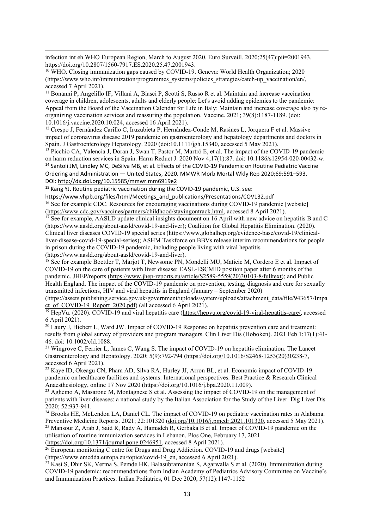infection int eh WHO European Region, March to August 2020. Euro Surveill. 2020;25(47):pii=2001943. https://doi.org/10.2807/1560-7917.ES.2020.25.47.2001943.

<span id="page-12-0"></span><sup>10</sup> WHO. Closing immunization gaps caused by COVID-19. Geneva: World Health Organization; 2020 [\(https://www.who.int/immunization/programmes\\_systems/policies\\_strategies/catch-up\\_vaccination/en/,](https://www.who.int/immunization/programmes_systems/policies_strategies/catch-up_vaccination/en/) accessed 7 April 2021).

<span id="page-12-1"></span><sup>11</sup> Bonanni P, Angelillo IF, Villani A, Biasci P, Scotti S, Russo R et al. Maintain and increase vaccination coverage in children, adolescents, adults and elderly people: Let's avoid adding epidemics to the pandemic: Appeal from the Board of the Vaccination Calendar for Life in Italy: Maintain and increase coverage also by reorganizing vaccination services and reassuring the population. Vaccine. 2021; 39(8):1187-1189. (doi: 10.1016/j.vaccine.2020.10.024, accessed 16 April 2021).

<span id="page-12-2"></span><sup>12</sup> Crespo J, Fernández Carillo C, Iruzubieta P, Hernández-Conde M, Rasines L, Jorquera F et al. Massive impact of coronavirus disease 2019 pandemic on gastroenterology and hepatology departments and doctors in Spain. J Gastroenterology Hepatology. 2020 (doi:10.1111/jgh.15340, accessed 5 May 2021).

<span id="page-12-4"></span><span id="page-12-3"></span><sup>13</sup> Picchio CA, Valencia J, Doran J, Swan T, Pastor M, Martró E, et al. The impact of the COVID-19 pandemic on harm reduction services in Spain. Harm Reduct J. 2020 Nov 4;17(1):87. doi: 10.1186/s12954-020-00432-w. <sup>14</sup> Santoli JM, Lindley MC, DeSilva MB, et al. Effects of the COVID-19 Pandemic on Routine Pediatric Vaccine Ordering and Administration — United States, 2020. MMWR Morb Mortal Wkly Rep 2020;69:591–593. DOI:<http://dx.doi.org/10.15585/mmwr.mm6919e2>

<span id="page-12-5"></span><sup>15</sup> Kang YJ. Routine pediatric vaccination during the COVID-19 pandemic, U.S. see:

https://www.vhpb.org/files/html/Meetings\_and\_publications/Presentations/COV132.pdf

<span id="page-12-6"></span><sup>16</sup> See for example CDC. Resources for encouraging vaccinations during COVID-19 pandemic [website] [\(https://www.cdc.gov/vaccines/partners/childhood/stayingontrack.html,](https://www.cdc.gov/vaccines/partners/childhood/stayingontrack.html) accessed 8 April 2021).

<span id="page-12-7"></span> $17$  See for example, AASLD update clinical insights document on 16 April with new advice on hepatitis B and C (https://www.aasld.org/about-aasld/covid-19-and-liver); Coalition for Global Hepatitis Elimination. (2020). Clinical liver diseases COVID-19 special series [\(https://www.globalhep.org/evidence-base/covid-19/clinical](https://www.globalhep.org/evidence-base/covid-19/clinical-liver-disease-covid-19-special-series)[liver-disease-covid-19-special-series\)](https://www.globalhep.org/evidence-base/covid-19/clinical-liver-disease-covid-19-special-series); ASHM Taskforce on BBVs release interim recommendations for people in prison during the COVID-19 pandemic, including people living with viral hepatitis (https://www.aasld.org/about-aasld/covid-19-and-liver).

<span id="page-12-8"></span><sup>18</sup> See for example Boettler T, Marjot T, Newsome PN, Mondelli MU, Maticic M, Cordero E et al. Impact of COVID-19 on the care of patients with liver disease: EASL-ESCMID position paper after 6 months of the pandemic. JHEP/reports [\(https://www.jhep-reports.eu/article/S2589-5559\(20\)30103-8/fulltext\)](https://www.jhep-reports.eu/article/S2589-5559(20)30103-8/fulltext); and Public Health England. The impact of the COVID-19 pandemic on prevention, testing, diagnosis and care for sexually transmitted infections, HIV and viral hepatitis in England (January – September 2020)

[\(https://assets.publishing.service.gov.uk/government/uploads/system/uploads/attachment\\_data/file/943657/Impa](https://assets.publishing.service.gov.uk/government/uploads/system/uploads/attachment_data/file/943657/Impact_of_COVID-19_Report_2020.pdf) [ct\\_of\\_COVID-19\\_Report\\_2020.pdf\)](https://assets.publishing.service.gov.uk/government/uploads/system/uploads/attachment_data/file/943657/Impact_of_COVID-19_Report_2020.pdf) (all accessed 6 April 2021).

<span id="page-12-9"></span><sup>19</sup> HepVu. (2020). COVID-19 and viral hepatitis care [\(https://hepvu.org/covid-19-viral-hepatitis-care/,](https://hepvu.org/covid-19-viral-hepatitis-care/) accessed 6 April 2021).

<span id="page-12-10"></span><sup>20</sup> Laury J, Hiebert L, Ward JW. Impact of COVID-19 Response on hepatitis prevention care and treatment: results from global survey of providers and program managers. Clin Liver Dis (Hoboken). 2021 Feb 1;17(1):41- 46. doi: 10.1002/cld.1088.

<span id="page-12-11"></span><sup>21</sup> Wingrove C, Ferrier L, James C, Wang S. The impact of COVID-19 on hepatitis elimination. The Lancet Gastroenterology and Hepatology. 2020; 5(9):792-794 [\(https://doi.org/10.1016/S2468-1253\(20\)30238-7,](https://doi.org/10.1016/S2468-1253(20)30238-7) accessed 6 April 2021).

<span id="page-12-12"></span><sup>22</sup> Kaye ID, Okeagu CN, Pham AD, Silva RA, Hurley JJ, Arron BL, et al. Economic impact of COVID-19 pandemic on healthcare facilities and systems: International perspectives. Best Practice & Research Clinical Anaesthesiology, online 17 Nov 2020 (https://doi.org/10.1016/j.bpa.2020.11.009).

<span id="page-12-13"></span><sup>23</sup> Aghemo A, Masarone M, Montagnese S et al. Assessing the impact of COVID-19 on the management of patients with liver diseases: a national study by the Italian Association for the Study of the Liver. Dig Liver Dis 2020; 52:937-941.

<span id="page-12-14"></span><sup>24</sup> Brooks HE, McLendon LA, Daniel CL. The impact of COVID-19 on pediatric vaccination rates in Alabama. Preventive Medicine Reports. 2021; 22:101320 [\(doi.org/10.1016/j.pmedr.2021.101320,](https://doi.org/10.1016/j.pmedr.2021.101320) accessed 5 May 2021).<br><sup>25</sup> Mansour Z, Arab J, Said R, Rady A, Hamadeh R, Gerbaka B et al. Impact of COVID-19 pandemic on the utilisation of routine immunization services in Lebanon. Plos One, February 17, 2021

<span id="page-12-15"></span>[\(https://doi.org/10.1371/journal.pone.0246951,](https://doi.org/10.1371/journal.pone.0246951) accessed 8 April 2021).

<span id="page-12-16"></span> $^{26}$  European monitoring C entre for Drugs and Drug Addiction. COVID-19 and drugs [website]

[\(https://www.emcdda.europa.eu/topics/covid-19\\_en,](https://www.emcdda.europa.eu/topics/covid-19_en) accessed 6 April 2021).

<span id="page-12-17"></span> $27$  Kasi S, Dhir SK, Verma S, Pemde HK, Balasubramanian S, Agarwalla S et al. (2020). Immunization during COVID-19 pandemic: recommendations from Indian Academy of Pediatrics Advisory Committee on Vaccine's and Immunization Practices. Indian Pediatrics, 01 Dec 2020, 57(12):1147-1152